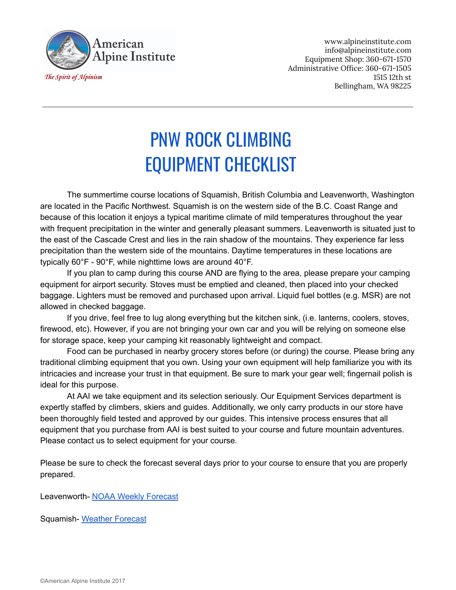

www.alpineinstitute.com info@alpineinstitute.com Equipment Shop: 360-671-1570 Administrative Office: 360-671-1505 1515 12th st Bellingham, WA 98225

## PNW ROCK CLIMBING EQUIPMENT CHECKLIST

The summertime course locations of Squamish, British Columbia and Leavenworth, Washington are located in the Pacific Northwest. Squamish is on the western side of the B.C. Coast Range and because of this location it enjoys a typical maritime climate of mild temperatures throughout the year with frequent precipitation in the winter and generally pleasant summers. Leavenworth is situated just to the east of the Cascade Crest and lies in the rain shadow of the mountains. They experience far less precipitation than the western side of the mountains. Daytime temperatures in these locations are typically  $60^{\circ}$ F -  $90^{\circ}$ F, while nighttime lows are around  $40^{\circ}$ F.

If you plan to camp during this course AND are flying to the area, please prepare your camping equipment for airport security. Stoves must be emptied and cleaned, then placed into your checked baggage. Lighters must be removed and purchased upon arrival. Liquid fuel bottles (e.g. MSR) are not allowed in checked baggage.

If you drive, feel free to lug along everything but the kitchen sink, (i.e. lanterns, coolers, stoves, firewood, etc). However, if you are not bringing your own car and you will be relying on someone else for storage space, keep your camping kit reasonably lightweight and compact.

Food can be purchased in nearby grocery stores before (or during) the course. Please bring any traditional climbing equipment that you own. Using your own equipment will help familiarize you with its intricacies and increase your trust in that equipment. Be sure to mark your gear well; fingernail polish is ideal for this purpose.

At AAI we take equipment and its selection seriously. Our Equipment Services department is expertly staffed by climbers, skiers and guides. Additionally, we only carry products in our store have been thoroughly field tested and approved by our guides. This intensive process ensures that all equipment that you purchase from AAI is best suited to your course and future mountain adventures. Please contact us to select equipment for your course.

Please be sure to check the forecast several days prior to your course to ensure that you are properly prepared.

Leavenworth- NOAA Weekly [Forecast](http://forecast.weather.gov/MapClick.php?lat=47.59944980678937&lon=-120.65975189208984#.WmPtLyMrLJw)

Squamish-Weather [Forecast](https://www.theweathernetwork.com/ca/weather/british-columbia/squamish)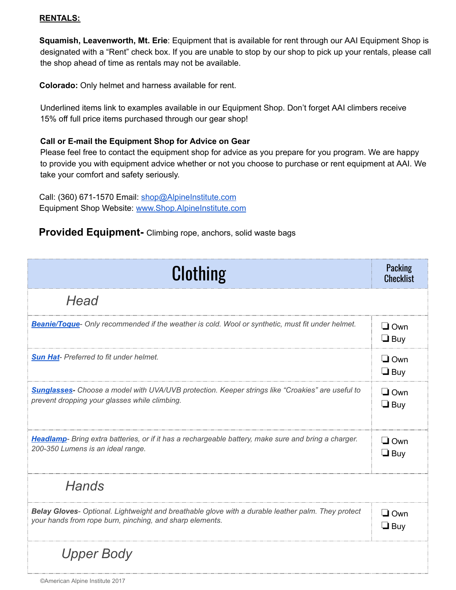## **RENTALS:**

**Squamish, Leavenworth, Mt. Erie**: Equipment that is available for rent through our AAI Equipment Shop is designated with a "Rent" check box. If you are unable to stop by our shop to pick up your rentals, please call the shop ahead of time as rentals may not be available.

**Colorado:** Only helmet and harness available for rent.

Underlined items link to examples available in our Equipment Shop. Don't forget AAI climbers receive 15% off full price items purchased through our gear shop!

## **Call or Email the Equipment Shop for Advice on Gear**

Please feel free to contact the equipment shop for advice as you prepare for you program. We are happy to provide you with equipment advice whether or not you choose to purchase or rent equipment at AAI. We take your comfort and safety seriously.

Call: (360) 671-1570 Email: [shop@AlpineInstitute.com](mailto:shop@AlpineInstitute.com) Equipment Shop Website: [www.Shop.AlpineInstitute.com](http://www.shop.alpineinstitute.com/)

## **Provided Equipment-** Climbing rope, anchors, solid waste bags

| <b>Clothing</b>                                                                                                                                                | Packing<br><b>Checklist</b> |
|----------------------------------------------------------------------------------------------------------------------------------------------------------------|-----------------------------|
| Head                                                                                                                                                           |                             |
| Beanie/Toque- Only recommended if the weather is cold. Wool or synthetic, must fit under helmet.                                                               | $\Box$ Own<br>$\Box$ Buy    |
| <b>Sun Hat-</b> Preferred to fit under helmet.                                                                                                                 | $\Box$ Own<br>$\Box$ Buy    |
| <b>Sunglasses-</b> Choose a model with UVA/UVB protection. Keeper strings like "Croakies" are useful to<br>prevent dropping your glasses while climbing.       | $\Box$ Own<br>$\Box$ Buy    |
| Headlamp- Bring extra batteries, or if it has a rechargeable battery, make sure and bring a charger.<br>200-350 Lumens is an ideal range.                      | $\Box$ Own<br>$\Box$ Buy    |
| <b>Hands</b>                                                                                                                                                   |                             |
| Belay Gloves- Optional. Lightweight and breathable glove with a durable leather palm. They protect<br>your hands from rope burn, pinching, and sharp elements. | $\Box$ Own<br>$\Box$ Buy    |
| <b>Upper Body</b>                                                                                                                                              |                             |

©American Alpine Institute 2017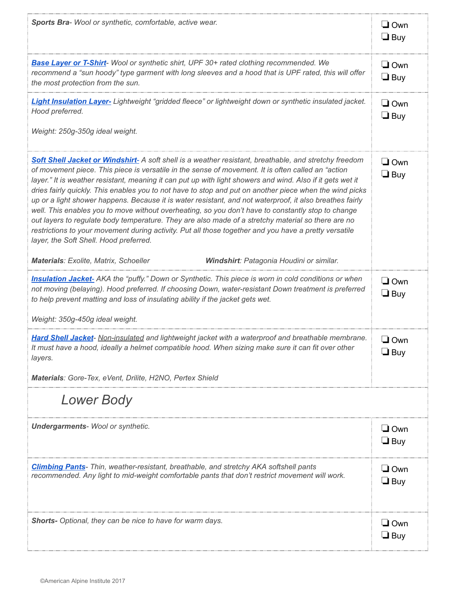| Sports Bra- Wool or synthetic, comfortable, active wear.                                                                                                                                                                                                                                                                                                                                                                                                                                                                                                                                                                                                                                                                                                                                                                                                                                                       | $\Box$ Own<br>$\Box$ Buy |
|----------------------------------------------------------------------------------------------------------------------------------------------------------------------------------------------------------------------------------------------------------------------------------------------------------------------------------------------------------------------------------------------------------------------------------------------------------------------------------------------------------------------------------------------------------------------------------------------------------------------------------------------------------------------------------------------------------------------------------------------------------------------------------------------------------------------------------------------------------------------------------------------------------------|--------------------------|
| Base Layer or T-Shirt- Wool or synthetic shirt, UPF 30+ rated clothing recommended. We<br>recommend a "sun hoody" type garment with long sleeves and a hood that is UPF rated, this will offer<br>the most protection from the sun.                                                                                                                                                                                                                                                                                                                                                                                                                                                                                                                                                                                                                                                                            | $\Box$ Own<br>$\Box$ Buy |
| Light Insulation Layer- Lightweight "gridded fleece" or lightweight down or synthetic insulated jacket.<br>Hood preferred.<br>Weight: 250g-350g ideal weight.                                                                                                                                                                                                                                                                                                                                                                                                                                                                                                                                                                                                                                                                                                                                                  | $\Box$ Own<br>$\Box$ Buy |
|                                                                                                                                                                                                                                                                                                                                                                                                                                                                                                                                                                                                                                                                                                                                                                                                                                                                                                                |                          |
| Soft Shell Jacket or Windshirt-A soft shell is a weather resistant, breathable, and stretchy freedom<br>of movement piece. This piece is versatile in the sense of movement. It is often called an "action<br>layer." It is weather resistant, meaning it can put up with light showers and wind. Also if it gets wet it<br>dries fairly quickly. This enables you to not have to stop and put on another piece when the wind picks<br>up or a light shower happens. Because it is water resistant, and not waterproof, it also breathes fairly<br>well. This enables you to move without overheating, so you don't have to constantly stop to change<br>out layers to regulate body temperature. They are also made of a stretchy material so there are no<br>restrictions to your movement during activity. Put all those together and you have a pretty versatile<br>layer, the Soft Shell. Hood preferred. | $\Box$ Own<br>$\Box$ Buy |
| <b>Materials: Exolite, Matrix, Schoeller</b><br>Windshirt: Patagonia Houdini or similar.                                                                                                                                                                                                                                                                                                                                                                                                                                                                                                                                                                                                                                                                                                                                                                                                                       |                          |
| <b>Insulation Jacket-</b> AKA the "puffy." Down or Synthetic. This piece is worn in cold conditions or when<br>not moving (belaying). Hood preferred. If choosing Down, water-resistant Down treatment is preferred<br>to help prevent matting and loss of insulating ability if the jacket gets wet.                                                                                                                                                                                                                                                                                                                                                                                                                                                                                                                                                                                                          | $\Box$ Own<br>$\Box$ Buy |
| Weight: 350g-450g ideal weight.                                                                                                                                                                                                                                                                                                                                                                                                                                                                                                                                                                                                                                                                                                                                                                                                                                                                                |                          |
| Hard Shell Jacket- Non-insulated and lightweight jacket with a waterproof and breathable membrane.<br>It must have a hood, ideally a helmet compatible hood. When sizing make sure it can fit over other<br>layers.                                                                                                                                                                                                                                                                                                                                                                                                                                                                                                                                                                                                                                                                                            | $\Box$ Own<br>$\Box$ Buy |
| Materials: Gore-Tex, eVent, Drilite, H2NO, Pertex Shield                                                                                                                                                                                                                                                                                                                                                                                                                                                                                                                                                                                                                                                                                                                                                                                                                                                       |                          |
| <b>Lower Body</b>                                                                                                                                                                                                                                                                                                                                                                                                                                                                                                                                                                                                                                                                                                                                                                                                                                                                                              |                          |
| <b>Undergarments-Wool or synthetic.</b>                                                                                                                                                                                                                                                                                                                                                                                                                                                                                                                                                                                                                                                                                                                                                                                                                                                                        | $\Box$ Own<br>$\Box$ Buy |
| <b>Climbing Pants-</b> Thin, weather-resistant, breathable, and stretchy AKA softshell pants<br>recommended. Any light to mid-weight comfortable pants that don't restrict movement will work.                                                                                                                                                                                                                                                                                                                                                                                                                                                                                                                                                                                                                                                                                                                 | $\Box$ Own<br>$\Box$ Buy |
| Shorts- Optional, they can be nice to have for warm days.                                                                                                                                                                                                                                                                                                                                                                                                                                                                                                                                                                                                                                                                                                                                                                                                                                                      | $\Box$ Own<br>$\Box$ Buy |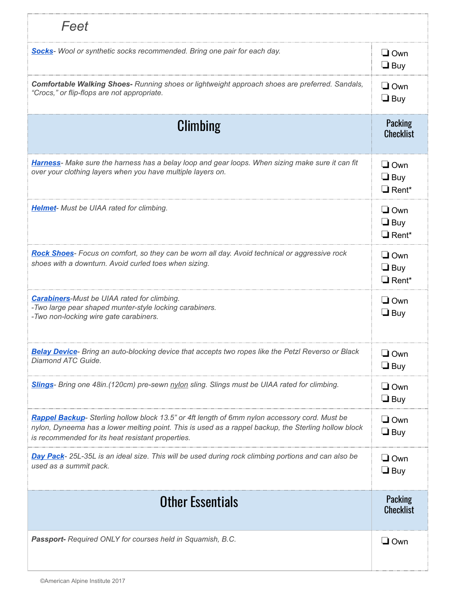| Feet                                                                                                                                                                                                                                                       |                                          |
|------------------------------------------------------------------------------------------------------------------------------------------------------------------------------------------------------------------------------------------------------------|------------------------------------------|
| Socks-Wool or synthetic socks recommended. Bring one pair for each day.                                                                                                                                                                                    | $\Box$ Own<br>$\Box$ Buy                 |
| Comfortable Walking Shoes- Running shoes or lightweight approach shoes are preferred. Sandals,<br>"Crocs," or flip-flops are not appropriate.                                                                                                              | $\Box$ Own<br>$\Box$ Buy                 |
| Climbing                                                                                                                                                                                                                                                   | <b>Packing</b><br><b>Checklist</b>       |
| Harness- Make sure the harness has a belay loop and gear loops. When sizing make sure it can fit<br>over your clothing layers when you have multiple layers on.                                                                                            | $\Box$ Own<br>$\Box$ Buy<br>$\Box$ Rent* |
| <b>Helmet-</b> Must be UIAA rated for climbing.                                                                                                                                                                                                            | $\Box$ Own<br>$\Box$ Buy<br>$\Box$ Rent* |
| Rock Shoes- Focus on comfort, so they can be worn all day. Avoid technical or aggressive rock<br>shoes with a downturn. Avoid curled toes when sizing.                                                                                                     | $\Box$ Own<br>$\Box$ Buy<br>$\Box$ Rent* |
| <b>Carabiners-Must be UIAA rated for climbing.</b><br>-Two large pear shaped munter-style locking carabiners.<br>-Two non-locking wire gate carabiners.                                                                                                    | $\Box$ Own<br>$\Box$ Buy                 |
| Belay Device- Bring an auto-blocking device that accepts two ropes like the Petzl Reverso or Black<br>Diamond ATC Guide.                                                                                                                                   | $\Box$ Own<br>$\Box$ Buy                 |
| <b>Slings-</b> Bring one 48in. (120cm) pre-sewn nylon sling. Slings must be UIAA rated for climbing.                                                                                                                                                       | $\Box$ Own<br>$\Box$ Buy                 |
| Rappel Backup- Sterling hollow block 13.5" or 4ft length of 6mm nylon accessory cord. Must be<br>nylon, Dyneema has a lower melting point. This is used as a rappel backup, the Sterling hollow block<br>is recommended for its heat resistant properties. | $\Box$ Own<br>$\Box$ Buy                 |
| Day Pack- 25L-35L is an ideal size. This will be used during rock climbing portions and can also be<br>used as a summit pack.                                                                                                                              | $\Box$ Own<br>$\Box$ Buy                 |
| <b>Other Essentials</b>                                                                                                                                                                                                                                    | <b>Packing</b><br><b>Checklist</b>       |
| Passport- Required ONLY for courses held in Squamish, B.C.                                                                                                                                                                                                 | $\Box$ Own                               |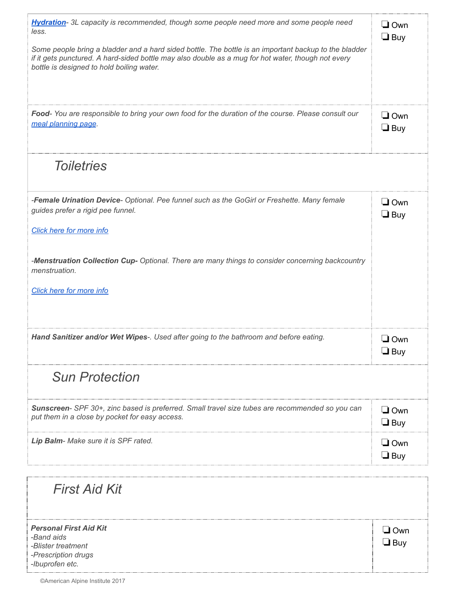| Hydration-3L capacity is recommended, though some people need more and some people need<br>less.<br>Some people bring a bladder and a hard sided bottle. The bottle is an important backup to the bladder<br>if it gets punctured. A hard-sided bottle may also double as a mug for hot water, though not every<br>bottle is designed to hold boiling water. | $\square$ Own<br>$\Box$ Buy |
|--------------------------------------------------------------------------------------------------------------------------------------------------------------------------------------------------------------------------------------------------------------------------------------------------------------------------------------------------------------|-----------------------------|
| Food-You are responsible to bring your own food for the duration of the course. Please consult our<br>meal planning page.                                                                                                                                                                                                                                    | $\Box$ Own<br>$\Box$ Buy    |
| <b>Toiletries</b>                                                                                                                                                                                                                                                                                                                                            |                             |
| -Female Urination Device- Optional. Pee funnel such as the GoGirl or Freshette. Many female<br>guides prefer a rigid pee funnel.<br>Click here for more info                                                                                                                                                                                                 | $\Box$ Own<br>$\Box$ Buy    |
| -Menstruation Collection Cup- Optional. There are many things to consider concerning backcountry<br>menstruation.<br>Click here for more info                                                                                                                                                                                                                |                             |
| Hand Sanitizer and/or Wet Wipes-. Used after going to the bathroom and before eating.                                                                                                                                                                                                                                                                        | $\Box$ Own<br>$\Box$ Buv    |
| <b>Sun Protection</b>                                                                                                                                                                                                                                                                                                                                        |                             |
| Sunscreen- SPF 30+, zinc based is preferred. Small travel size tubes are recommended so you can<br>put them in a close by pocket for easy access.                                                                                                                                                                                                            | $\sqcup$ Own<br>$\Box$ Buy  |
| Lip Balm- Make sure it is SPF rated.                                                                                                                                                                                                                                                                                                                         | $\Box$ Own<br>$\Box$ Buy    |
| <b>First Aid Kit</b>                                                                                                                                                                                                                                                                                                                                         |                             |
| <b>Personal First Aid Kit</b><br>-Band aids<br>-Blister treatment<br>-Prescription drugs<br>-Ibuprofen etc.                                                                                                                                                                                                                                                  | $\Box$ Own<br>$\Box$ Buy    |

٠,

ŧ

ŗ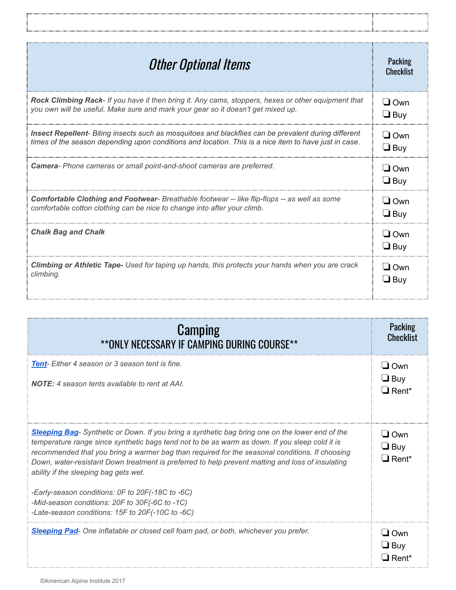| <b>Other Optional Items</b>                                                                             | Packing<br><b>Checklist</b> |
|---------------------------------------------------------------------------------------------------------|-----------------------------|
| Rock Climbing Rack- If you have it then bring it. Any cams, stoppers, hexes or other equipment that     | $\Box$ Own                  |
| you own will be useful. Make sure and mark your gear so it doesn't get mixed up.                        | $\Box$ Buy                  |
| Insect Repellent- Biting insects such as mosquitoes and blackflies can be prevalent during different    | $\Box$ Own                  |
| times of the season depending upon conditions and location. This is a nice item to have just in case.   | $\Box$ Buy                  |
| Camera- Phone cameras or small point-and-shoot cameras are preferred.                                   | $\Box$ Own<br>$\Box$ Buy    |
| <b>Comfortable Clothing and Footwear-</b> Breathable footwear -- like flip-flops -- as well as some     | $\Box$ Own                  |
| comfortable cotton clothing can be nice to change into after your climb.                                | $\Box$ Buy                  |
| <b>Chalk Bag and Chalk</b>                                                                              | $\Box$ Own<br>$\Box$ Buy    |
| <b>Climbing or Athletic Tape-</b> Used for taping up hands, this protects your hands when you are crack | $\Box$ Own                  |
| climbing.                                                                                               | $\Box$ Buy                  |

Ï

Ţ

| <b>Camping</b><br>**ONLY NECESSARY IF CAMPING DURING COURSE**                                                                                                                                                                                                                                                                                                                                                                                    | <b>Packing</b><br><b>Checklist</b>                   |
|--------------------------------------------------------------------------------------------------------------------------------------------------------------------------------------------------------------------------------------------------------------------------------------------------------------------------------------------------------------------------------------------------------------------------------------------------|------------------------------------------------------|
| <b>Tent-</b> Either 4 season or 3 season tent is fine.<br><b>NOTE:</b> 4 season tents available to rent at AAI                                                                                                                                                                                                                                                                                                                                   | $\Box$ Own<br>$\Box$ Buy<br>$\Box$ Rent <sup>*</sup> |
| Sleeping Bag- Synthetic or Down. If you bring a synthetic bag bring one on the lower end of the<br>temperature range since synthetic bags tend not to be as warm as down. If you sleep cold it is<br>recommended that you bring a warmer bag than required for the seasonal conditions. If choosing<br>Down, water-resistant Down treatment is preferred to help prevent matting and loss of insulating<br>ability if the sleeping bag gets wet. | $\Box$ Own<br>$\Box$ Buy<br>$\Box$ Rent*             |
| -Early-season conditions: OF to 20F(-18C to -6C)<br>-Mid-season conditions: 20F to 30F(-6C to -1C)<br>-Late-season conditions: 15F to 20F(-10C to -6C)                                                                                                                                                                                                                                                                                           |                                                      |
| Sleeping Pad- One inflatable or closed cell foam pad, or both, whichever you prefer.                                                                                                                                                                                                                                                                                                                                                             | $\Box$ Own<br>$\Box$ Buy<br>$\Box$ Rent*             |

 $\frac{1}{2}$